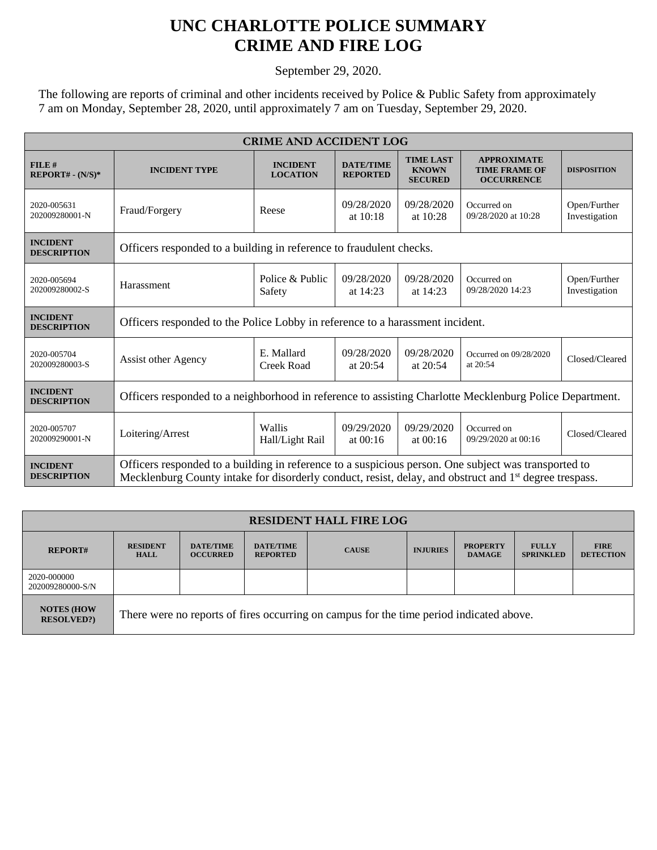## **UNC CHARLOTTE POLICE SUMMARY CRIME AND FIRE LOG**

September 29, 2020.

The following are reports of criminal and other incidents received by Police & Public Safety from approximately 7 am on Monday, September 28, 2020, until approximately 7 am on Tuesday, September 29, 2020.

| <b>CRIME AND ACCIDENT LOG</b>         |                                                                                                                                                                                                                            |                                    |                                     |                                                    |                                                                 |                               |  |
|---------------------------------------|----------------------------------------------------------------------------------------------------------------------------------------------------------------------------------------------------------------------------|------------------------------------|-------------------------------------|----------------------------------------------------|-----------------------------------------------------------------|-------------------------------|--|
| FILE#<br>$REPORT# - (N/S)*$           | <b>INCIDENT TYPE</b>                                                                                                                                                                                                       | <b>INCIDENT</b><br><b>LOCATION</b> | <b>DATE/TIME</b><br><b>REPORTED</b> | <b>TIME LAST</b><br><b>KNOWN</b><br><b>SECURED</b> | <b>APPROXIMATE</b><br><b>TIME FRAME OF</b><br><b>OCCURRENCE</b> | <b>DISPOSITION</b>            |  |
| 2020-005631<br>202009280001-N         | Fraud/Forgery                                                                                                                                                                                                              | Reese                              | 09/28/2020<br>at 10:18              | 09/28/2020<br>at 10:28                             | Occurred on<br>09/28/2020 at 10:28                              | Open/Further<br>Investigation |  |
| <b>INCIDENT</b><br><b>DESCRIPTION</b> | Officers responded to a building in reference to fraudulent checks.                                                                                                                                                        |                                    |                                     |                                                    |                                                                 |                               |  |
| 2020-005694<br>202009280002-S         | Harassment                                                                                                                                                                                                                 | Police & Public<br>Safety          | 09/28/2020<br>at 14:23              | 09/28/2020<br>at 14:23                             | Occurred on<br>09/28/2020 14:23                                 | Open/Further<br>Investigation |  |
| <b>INCIDENT</b><br><b>DESCRIPTION</b> | Officers responded to the Police Lobby in reference to a harassment incident.                                                                                                                                              |                                    |                                     |                                                    |                                                                 |                               |  |
| 2020-005704<br>202009280003-S         | Assist other Agency                                                                                                                                                                                                        | E. Mallard<br>Creek Road           | 09/28/2020<br>at $20:54$            | 09/28/2020<br>at 20:54                             | Occurred on 09/28/2020<br>at 20:54                              | Closed/Cleared                |  |
| <b>INCIDENT</b><br><b>DESCRIPTION</b> | Officers responded to a neighborhood in reference to assisting Charlotte Mecklenburg Police Department.                                                                                                                    |                                    |                                     |                                                    |                                                                 |                               |  |
| 2020-005707<br>202009290001-N         | Loitering/Arrest                                                                                                                                                                                                           | Wallis<br>Hall/Light Rail          | 09/29/2020<br>at $00:16$            | 09/29/2020<br>at $00:16$                           | Occurred on<br>09/29/2020 at 00:16                              | Closed/Cleared                |  |
| <b>INCIDENT</b><br><b>DESCRIPTION</b> | Officers responded to a building in reference to a suspicious person. One subject was transported to<br>Mecklenburg County intake for disorderly conduct, resist, delay, and obstruct and 1 <sup>st</sup> degree trespass. |                                    |                                     |                                                    |                                                                 |                               |  |

| <b>RESIDENT HALL FIRE LOG</b>         |                                                                                         |                                     |                                     |              |                 |                                  |                                  |                                 |
|---------------------------------------|-----------------------------------------------------------------------------------------|-------------------------------------|-------------------------------------|--------------|-----------------|----------------------------------|----------------------------------|---------------------------------|
| <b>REPORT#</b>                        | <b>RESIDENT</b><br><b>HALL</b>                                                          | <b>DATE/TIME</b><br><b>OCCURRED</b> | <b>DATE/TIME</b><br><b>REPORTED</b> | <b>CAUSE</b> | <b>INJURIES</b> | <b>PROPERTY</b><br><b>DAMAGE</b> | <b>FULLY</b><br><b>SPRINKLED</b> | <b>FIRE</b><br><b>DETECTION</b> |
| 2020-000000<br>202009280000-S/N       |                                                                                         |                                     |                                     |              |                 |                                  |                                  |                                 |
| <b>NOTES (HOW</b><br><b>RESOLVED?</b> | There were no reports of fires occurring on campus for the time period indicated above. |                                     |                                     |              |                 |                                  |                                  |                                 |